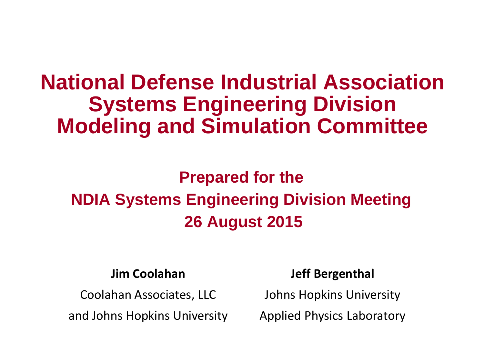# **National Defense Industrial Association Systems Engineering Division Modeling and Simulation Committee**

# **Prepared for the NDIA Systems Engineering Division Meeting 26 August 2015**

### **Jim Coolahan**

Coolahan Associates, LLC

and Johns Hopkins University

### **Jeff Bergenthal**

Johns Hopkins University

Applied Physics Laboratory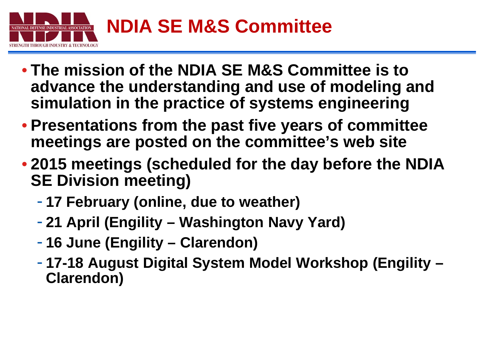

- **The mission of the NDIA SE M&S Committee is to advance the understanding and use of modeling and simulation in the practice of systems engineering**
- **Presentations from the past five years of committee meetings are posted on the committee's web site**
- **2015 meetings (scheduled for the day before the NDIA SE Division meeting)**
	- **17 February (online, due to weather)**
	- **21 April (Engility – Washington Navy Yard)**
	- **16 June (Engility – Clarendon)**
	- **17-18 August Digital System Model Workshop (Engility – Clarendon)**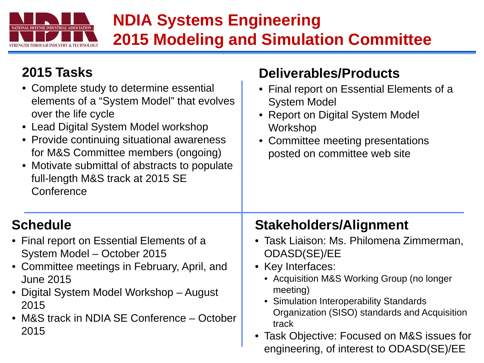

## **NDIA Systems Engineering 2015 Modeling and Simulation Committee**

**Deliverables/Products**

### **2015 Tasks**

| • Complete study to determine essential<br>elements of a "System Model" that evolves<br>over the life cycle<br>• Lead Digital System Model workshop<br>• Provide continuing situational awareness<br>for M&S Committee members (ongoing)<br>• Motivate submittal of abstracts to populate<br>full-length M&S track at 2015 SE<br>Conference | • Final report on Essential Elements of a<br><b>System Model</b><br>• Report on Digital System Model<br>Workshop<br>• Committee meeting presentations<br>posted on committee web site                                                                                                                                                                                    |
|---------------------------------------------------------------------------------------------------------------------------------------------------------------------------------------------------------------------------------------------------------------------------------------------------------------------------------------------|--------------------------------------------------------------------------------------------------------------------------------------------------------------------------------------------------------------------------------------------------------------------------------------------------------------------------------------------------------------------------|
| <b>Schedule</b><br>• Final report on Essential Elements of a<br>System Model - October 2015<br>• Committee meetings in February, April, and<br><b>June 2015</b><br>• Digital System Model Workshop – August<br>2015<br>• M&S track in NDIA SE Conference – October<br>2015                                                                  | <b>Stakeholders/Alignment</b><br>• Task Liaison: Ms. Philomena Zimmerman,<br>ODASD(SE)/EE<br>• Key Interfaces:<br>• Acquisition M&S Working Group (no longer<br>meeting)<br>• Simulation Interoperability Standards<br>Organization (SISO) standards and Acquisition<br>track<br>• Task Objective: Focused on M&S issues for<br>engineering, of interest to ODASD(SE)/EE |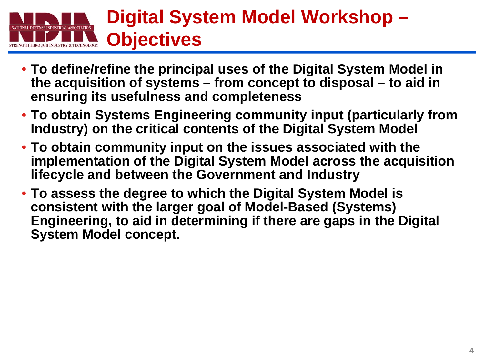# **Digital System Model Workshop – Objectives**

- **To define/refine the principal uses of the Digital System Model in the acquisition of systems – from concept to disposal – to aid in ensuring its usefulness and completeness**
- **To obtain Systems Engineering community input (particularly from Industry) on the critical contents of the Digital System Model**
- **To obtain community input on the issues associated with the implementation of the Digital System Model across the acquisition lifecycle and between the Government and Industry**
- **To assess the degree to which the Digital System Model is consistent with the larger goal of Model-Based (Systems) Engineering, to aid in determining if there are gaps in the Digital System Model concept.**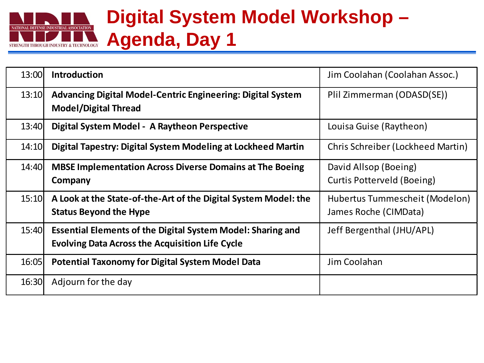### **Digital System Model Workshop –** NATIONAL DEFENSE INDUSTRIAL ASSOCIATION **Agenda, Day 1 GTH THROUGH INDUSTRY & TECHNOLOGY**

| 13:00 | <b>Introduction</b>                                                                                                          | Jim Coolahan (Coolahan Assoc.)                          |
|-------|------------------------------------------------------------------------------------------------------------------------------|---------------------------------------------------------|
| 13:10 | <b>Advancing Digital Model-Centric Engineering: Digital System</b><br><b>Model/Digital Thread</b>                            | Plil Zimmerman (ODASD(SE))                              |
| 13:40 | Digital System Model - A Raytheon Perspective                                                                                | Louisa Guise (Raytheon)                                 |
| 14:10 | Digital Tapestry: Digital System Modeling at Lockheed Martin                                                                 | Chris Schreiber (Lockheed Martin)                       |
| 14:40 | <b>MBSE Implementation Across Diverse Domains at The Boeing</b><br>Company                                                   | David Allsop (Boeing)<br>Curtis Potterveld (Boeing)     |
| 15:10 | A Look at the State-of-the-Art of the Digital System Model: the<br><b>Status Beyond the Hype</b>                             | Hubertus Tummescheit (Modelon)<br>James Roche (CIMData) |
| 15:40 | <b>Essential Elements of the Digital System Model: Sharing and</b><br><b>Evolving Data Across the Acquisition Life Cycle</b> | Jeff Bergenthal (JHU/APL)                               |
| 16:05 | <b>Potential Taxonomy for Digital System Model Data</b>                                                                      | Jim Coolahan                                            |
| 16:30 | Adjourn for the day                                                                                                          |                                                         |